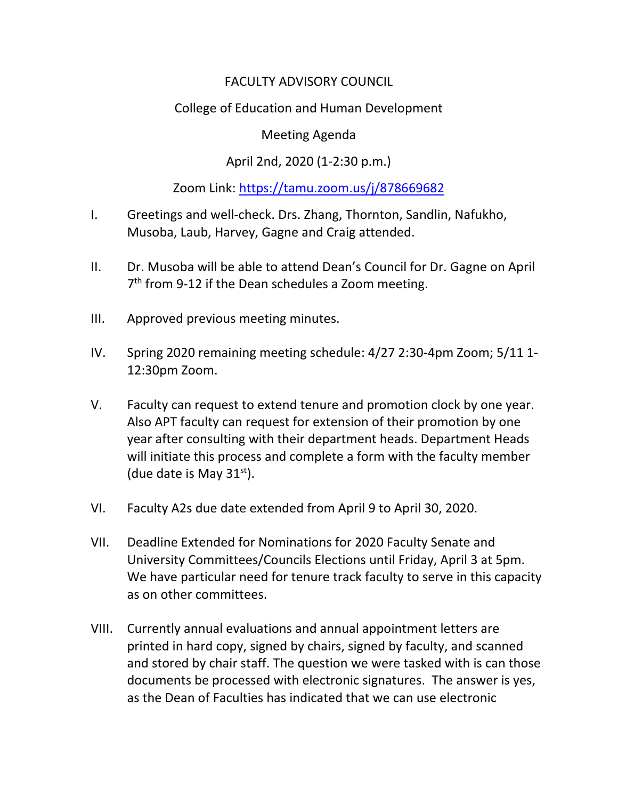## FACULTY ADVISORY COUNCIL

# College of Education and Human Development

#### Meeting Agenda

## April 2nd, 2020 (1-2:30 p.m.)

### Zoom Link:<https://tamu.zoom.us/j/878669682>

- I. Greetings and well-check. Drs. Zhang, Thornton, Sandlin, Nafukho, Musoba, Laub, Harvey, Gagne and Craig attended.
- II. Dr. Musoba will be able to attend Dean's Council for Dr. Gagne on April 7<sup>th</sup> from 9-12 if the Dean schedules a Zoom meeting.
- III. Approved previous meeting minutes.
- IV. Spring 2020 remaining meeting schedule: 4/27 2:30-4pm Zoom; 5/11 1- 12:30pm Zoom.
- V. Faculty can request to extend tenure and promotion clock by one year. Also APT faculty can request for extension of their promotion by one year after consulting with their department heads. Department Heads will initiate this process and complete a form with the faculty member (due date is May  $31<sup>st</sup>$ ).
- VI. Faculty A2s due date extended from April 9 to April 30, 2020.
- VII. Deadline Extended for Nominations for 2020 Faculty Senate and University Committees/Councils Elections until Friday, April 3 at 5pm. We have particular need for tenure track faculty to serve in this capacity as on other committees.
- VIII. Currently annual evaluations and annual appointment letters are printed in hard copy, signed by chairs, signed by faculty, and scanned and stored by chair staff. The question we were tasked with is can those documents be processed with electronic signatures. The answer is yes, as the Dean of Faculties has indicated that we can use electronic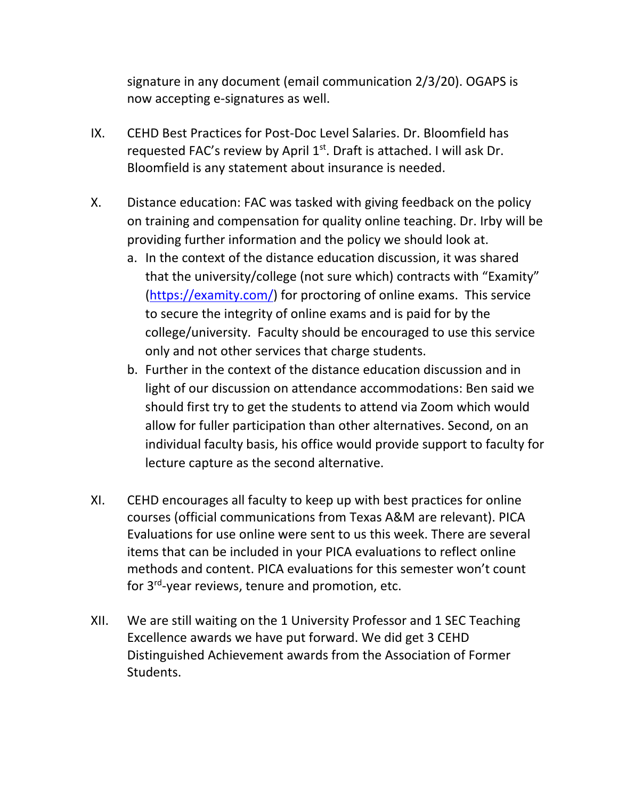signature in any document (email communication 2/3/20). OGAPS is now accepting e-signatures as well.

- IX. CEHD Best Practices for Post-Doc Level Salaries. Dr. Bloomfield has requested FAC's review by April  $1<sup>st</sup>$ . Draft is attached. I will ask Dr. Bloomfield is any statement about insurance is needed.
- X. Distance education: FAC was tasked with giving feedback on the policy on training and compensation for quality online teaching. Dr. Irby will be providing further information and the policy we should look at.
	- a. In the context of the distance education discussion, it was shared that the university/college (not sure which) contracts with "Examity" [\(https://examity.com/\)](https://examity.com/) for proctoring of online exams. This service to secure the integrity of online exams and is paid for by the college/university. Faculty should be encouraged to use this service only and not other services that charge students.
	- b. Further in the context of the distance education discussion and in light of our discussion on attendance accommodations: Ben said we should first try to get the students to attend via Zoom which would allow for fuller participation than other alternatives. Second, on an individual faculty basis, his office would provide support to faculty for lecture capture as the second alternative.
- XI. CEHD encourages all faculty to keep up with best practices for online courses (official communications from Texas A&M are relevant). PICA Evaluations for use online were sent to us this week. There are several items that can be included in your PICA evaluations to reflect online methods and content. PICA evaluations for this semester won't count for 3rd-year reviews, tenure and promotion, etc.
- XII. We are still waiting on the 1 University Professor and 1 SEC Teaching Excellence awards we have put forward. We did get 3 CEHD Distinguished Achievement awards from the Association of Former Students.